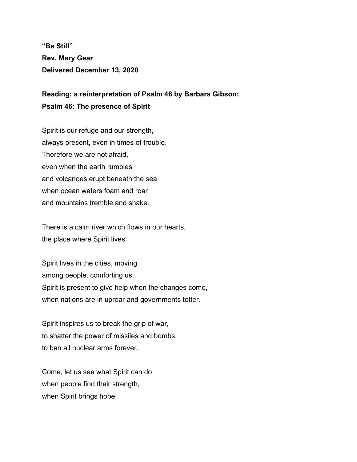**"Be Still" Rev. Mary Gear Delivered December 13, 2020**

**Reading: a reinterpretation of Psalm 46 by Barbara Gibson: Psalm 46: The presence of Spirit**

Spirit is our refuge and our strength, always present, even in times of trouble. Therefore we are not afraid, even when the earth rumbles and volcanoes erupt beneath the sea when ocean waters foam and roar and mountains tremble and shake.

There is a calm river which flows in our hearts, the place where Spirit lives.

Spirit lives in the cities, moving among people, comforting us. Spirit is present to give help when the changes come, when nations are in uproar and governments totter.

Spirit inspires us to break the grip of war, to shatter the power of missiles and bombs, to ban all nuclear arms forever.

Come, let us see what Spirit can do when people find their strength, when Spirit brings hope.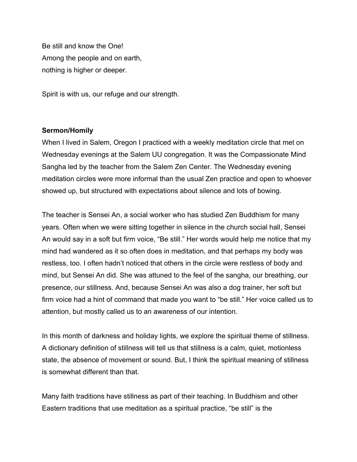Be still and know the One! Among the people and on earth, nothing is higher or deeper.

Spirit is with us, our refuge and our strength.

## **Sermon/Homily**

When I lived in Salem, Oregon I practiced with a weekly meditation circle that met on Wednesday evenings at the Salem UU congregation. It was the Compassionate Mind Sangha led by the teacher from the Salem Zen Center. The Wednesday evening meditation circles were more informal than the usual Zen practice and open to whoever showed up, but structured with expectations about silence and lots of bowing.

The teacher is Sensei An, a social worker who has studied Zen Buddhism for many years. Often when we were sitting together in silence in the church social hall, Sensei An would say in a soft but firm voice, "Be still." Her words would help me notice that my mind had wandered as it so often does in meditation, and that perhaps my body was restless, too. I often hadn't noticed that others in the circle were restless of body and mind, but Sensei An did. She was attuned to the feel of the sangha, our breathing, our presence, our stillness. And, because Sensei An was also a dog trainer, her soft but firm voice had a hint of command that made you want to "be still." Her voice called us to attention, but mostly called us to an awareness of our intention.

In this month of darkness and holiday lights, we explore the spiritual theme of stillness. A dictionary definition of stillness will tell us that stillness is a calm, quiet, motionless state, the absence of movement or sound. But, I think the spiritual meaning of stillness is somewhat different than that.

Many faith traditions have stillness as part of their teaching. In Buddhism and other Eastern traditions that use meditation as a spiritual practice, "be still" is the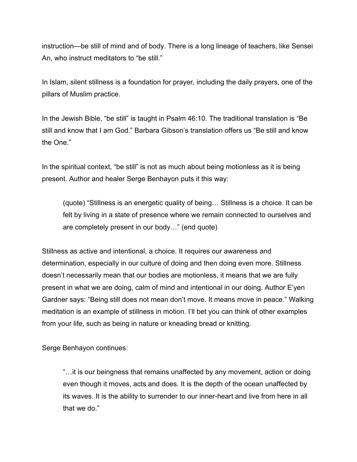instruction—be still of mind and of body. There is a long lineage of teachers, like Sensei An, who instruct meditators to "be still."

In Islam, silent stillness is a foundation for prayer, including the daily prayers, one of the pillars of Muslim practice.

In the Jewish Bible, "be still" is taught in Psalm 46:10. The traditional translation is "Be still and know that I am God." Barbara Gibson's translation offers us "Be still and know the One."

In the spiritual context, "be still" is not as much about being motionless as it is being present. Author and healer Serge Benhayon puts it this way:

(quote) "Stillness is an energetic quality of being… Stillness is a choice. It can be felt by living in a state of presence where we remain connected to ourselves and are completely present in our body…" (end quote)

Stillness as active and intentional, a choice. It requires our awareness and determination, especially in our culture of doing and then doing even more. Stillness doesn't necessarily mean that our bodies are motionless, it means that we are fully present in what we are doing, calm of mind and intentional in our doing. Author E'yen Gardner says: "Being still does not mean don't move. It means move in peace." Walking meditation is an example of stillness in motion. I'll bet you can think of other examples from your life, such as being in nature or kneading bread or knitting.

Serge Benhayon continues:

"…it is our beingness that remains unaffected by any movement, action or doing even though it moves, acts and does. It is the depth of the ocean unaffected by its waves. It is the ability to surrender to our inner-heart and live from here in all that we do."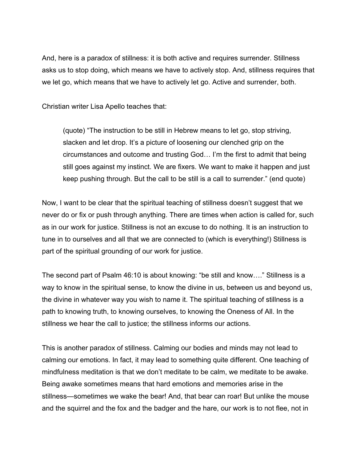And, here is a paradox of stillness: it is both active and requires surrender. Stillness asks us to stop doing, which means we have to actively stop. And, stillness requires that we let go, which means that we have to actively let go. Active and surrender, both.

Christian writer Lisa Apello teaches that:

(quote) "The instruction to be still in Hebrew means to let go, stop striving, slacken and let drop. It's a picture of loosening our clenched grip on the circumstances and outcome and trusting God… I'm the first to admit that being still goes against my instinct. We are fixers. We want to make it happen and just keep pushing through. But the call to be still is a call to surrender." (end quote)

Now, I want to be clear that the spiritual teaching of stillness doesn't suggest that we never do or fix or push through anything. There are times when action is called for, such as in our work for justice. Stillness is not an excuse to do nothing. It is an instruction to tune in to ourselves and all that we are connected to (which is everything!) Stillness is part of the spiritual grounding of our work for justice.

The second part of Psalm 46:10 is about knowing: "be still and know…." Stillness is a way to know in the spiritual sense, to know the divine in us, between us and beyond us, the divine in whatever way you wish to name it. The spiritual teaching of stillness is a path to knowing truth, to knowing ourselves, to knowing the Oneness of All. In the stillness we hear the call to justice; the stillness informs our actions.

This is another paradox of stillness. Calming our bodies and minds may not lead to calming our emotions. In fact, it may lead to something quite different. One teaching of mindfulness meditation is that we don't meditate to be calm, we meditate to be awake. Being awake sometimes means that hard emotions and memories arise in the stillness—sometimes we wake the bear! And, that bear can roar! But unlike the mouse and the squirrel and the fox and the badger and the hare, our work is to not flee, not in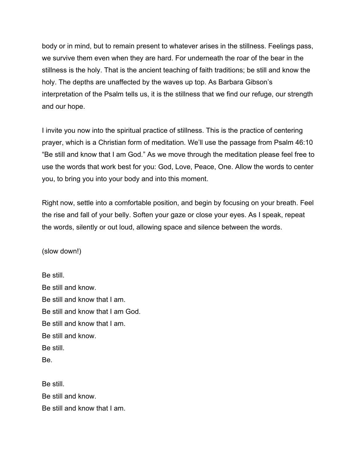body or in mind, but to remain present to whatever arises in the stillness. Feelings pass, we survive them even when they are hard. For underneath the roar of the bear in the stillness is the holy. That is the ancient teaching of faith traditions; be still and know the holy. The depths are unaffected by the waves up top. As Barbara Gibson's interpretation of the Psalm tells us, it is the stillness that we find our refuge, our strength and our hope.

I invite you now into the spiritual practice of stillness. This is the practice of centering prayer, which is a Christian form of meditation. We'll use the passage from Psalm 46:10 "Be still and know that I am God." As we move through the meditation please feel free to use the words that work best for you: God, Love, Peace, One. Allow the words to center you, to bring you into your body and into this moment.

Right now, settle into a comfortable position, and begin by focusing on your breath. Feel the rise and fall of your belly. Soften your gaze or close your eyes. As I speak, repeat the words, silently or out loud, allowing space and silence between the words.

(slow down!)

Be still. Be still and know. Be still and know that I am. Be still and know that I am God. Be still and know that I am. Be still and know. Be still. Be.

Be still. Be still and know. Be still and know that I am.